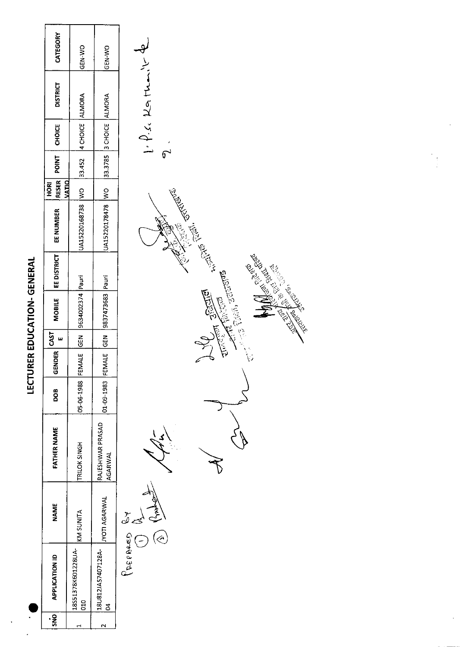|                                   | <b>RESER</b><br>$rac{1}{2}$         |
|-----------------------------------|-------------------------------------|
|                                   | MOBILE   EE DISTRICT   EE NUMBER    |
|                                   |                                     |
| <b>ECTURER EDUCATION- GENERAL</b> |                                     |
|                                   |                                     |
|                                   | $1$ Gender $\begin{bmatrix}$ Cast 1 |
|                                   | $\frac{1}{2}$                       |
|                                   | <b>ATHER NAME</b>                   |
|                                   | i<br>≶                              |

| SNO <sub>1</sub> | <b>APPLICATION ID</b>           | NAME                          | FATHER NAME                 | 800                   | <b>NDER</b><br>ូ<br>២ | <b>GAST</b> | <b>MOBILE</b>                           | EE DISTRICT | EE NUMBER         | VATIO<br>HORI | RESER POINT | <b>CHOICE</b>              | <b>DISTRICT</b>                          | CATEGORY |  |
|------------------|---------------------------------|-------------------------------|-----------------------------|-----------------------|-----------------------|-------------|-----------------------------------------|-------------|-------------------|---------------|-------------|----------------------------|------------------------------------------|----------|--|
|                  | 18551378K601228UA<br><b>DIO</b> | KM SUNITA                     | TRILOK SINGH                | 05-06-1988 FEMALE GEN |                       |             | 9634002374 Pauri                        |             | UA15220168738  WO |               |             | 33.452 4 CHOICE ALMORA     |                                          | GEN WO   |  |
|                  | 18U812JA57407128A-<br>ă         | <b>JYOTI AGARWAL</b>          | RAJESHWAR PRASAD<br>AGARWAL |                       |                       |             | 01-09-1983 FEMALE GEN  9837473683 Pauri |             | UA15220178478 WO  |               |             | ALMONA 3019 S8785 3 CHOICE |                                          | GEN-WO   |  |
|                  |                                 | JOSE CONED<br>$\widehat{\ll}$ | Ś                           |                       |                       |             |                                         |             |                   |               | 6           |                            | $1 - \frac{\rho}{\epsilon}$ se Kathair & |          |  |

 $\frac{1}{2}$ **CARL STORES AND STATES AND STATES SERVICE SERVICE SERVICE SERVICE SERVICE SERVICE SERVICE SERVICE SERVICE SERVICE SERVICE SERVICE SERVICE SERVICE SERVICE SERVICE SERVICE SERVICE SERVICE SERVICE SERVICE SERVICE SERVICE SER CONTROLLER ROOM**  $\begin{matrix} \mathbf{r} \end{matrix}$  $\widetilde{\mathcal{F}}$ 

 $\hat{\boldsymbol{\beta}}$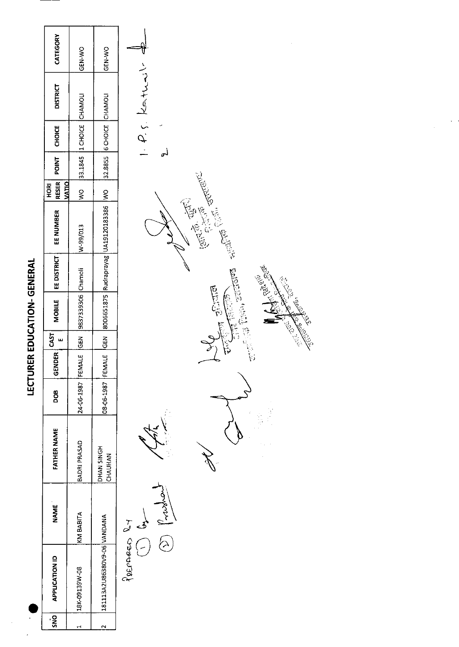| I |
|---|
|   |
|   |
| I |
|   |
|   |
| l |
|   |
|   |
| י |
|   |
| l |
|   |
|   |
|   |
|   |
| י |
| Í |

 $\ddot{\phantom{0}}$ 

|                                    | CATEGORY                                    | GEN-WO                   | GEN-WO                                   |                                                                                                                                                                                                                                      |
|------------------------------------|---------------------------------------------|--------------------------|------------------------------------------|--------------------------------------------------------------------------------------------------------------------------------------------------------------------------------------------------------------------------------------|
|                                    | <b>DISTRICT</b>                             |                          |                                          | $1. P$ s Kathai                                                                                                                                                                                                                      |
|                                    | <b>CHOICE</b>                               | 33.1845 1 CHOICE CHAMOLI | 32.8855 6 CHOICE CHAMOLI                 |                                                                                                                                                                                                                                      |
|                                    | <b>POINT</b>                                |                          |                                          |                                                                                                                                                                                                                                      |
|                                    | <b>RESER</b><br><b>MATIO</b><br><b>ROKI</b> | $rac{0}{2}$              |                                          |                                                                                                                                                                                                                                      |
| <b>LECTORER EDOCATION- GENERAL</b> | EE NUMBER                                   | V-99/013                 | 8006651875 Rudraprayag UA19120183386  WO | <b>Collage Collage Report Collage Report Collage Report Collage Report Collage Report Collage Report Collage Report Collage Report Collage Report Collage Report Collage Report Collage Report Collage Report Collage Report Col</b> |
|                                    | EE DISTRICT                                 |                          |                                          | <b>Ba</b><br>Ş                                                                                                                                                                                                                       |
|                                    | <b>MOBILE</b>                               | 9837339306 Chamoli       |                                          | <b>Birtie</b>                                                                                                                                                                                                                        |
|                                    | <b>CAST</b><br>w                            |                          |                                          | هندي زينو ا                                                                                                                                                                                                                          |
|                                    | <b>GENDER</b>                               |                          |                                          |                                                                                                                                                                                                                                      |
|                                    | DOB                                         | 24-06-1987 FEMALE GEN    | 08-06-1987 FEMALE GEN                    |                                                                                                                                                                                                                                      |
|                                    | <b>FATHER NAME</b>                          | BADRI PRASAD             | <b>HONGIN SHO</b><br>CHAUHAN             |                                                                                                                                                                                                                                      |
|                                    | <b>NAME</b>                                 | KM BABITA                |                                          | oyent.                                                                                                                                                                                                                               |
|                                    | <b>APPLICATION ID</b>                       | 18K-09139W-08            | 181113A2U86380V9-06 VANDANA              | PREPARED R7<br>A                                                                                                                                                                                                                     |
|                                    | SN <sub>O</sub>                             | $\blacksquare$           | $\mathbf{\tilde{c}}$                     |                                                                                                                                                                                                                                      |
|                                    |                                             |                          |                                          |                                                                                                                                                                                                                                      |

**MARKERS** 

July 1995

**COLL** 

Change Change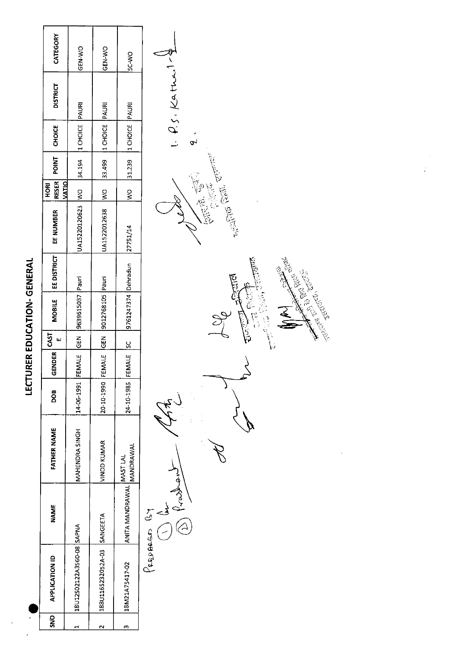| CATEGORY<br>GEN-WO<br>GEN-WO<br>SC-WO<br>X,<br>$1.$ $P$ s. Kather<br><b>DISTRICT</b><br>PAURI<br>PAURI<br>PAURI<br>1 CHOICE<br>1 CHOICE<br>1 CHOICE<br><b>CHOICE</b><br>ŕ<br>$\mathbf{a}_1$<br><b>POINT</b><br>34.194<br>33.499<br>31.239<br><b>RESER</b><br><b>DIEKV</b><br><b>ROKI</b><br>$\frac{1}{2}$<br>$\frac{8}{2}$<br>$\frac{1}{2}$<br>憶旨<br>UA15220120623<br>UA1522012638<br>EE NUMBER<br>27751/14<br>EE DISTRICT<br>Dehradun<br>Pauri<br>Pauri<br>9012768105<br>9761247374<br>9639615037<br><b>MOBILE</b><br><b>CAST</b><br>GEN<br><b>GEN</b><br>ш<br>ŠĆ<br>GENDER<br>FEMALE<br>20-10-1990 FEMALE<br>FEMALE<br>24-10-1985<br>14-06-1991<br>DOB |
|----------------------------------------------------------------------------------------------------------------------------------------------------------------------------------------------------------------------------------------------------------------------------------------------------------------------------------------------------------------------------------------------------------------------------------------------------------------------------------------------------------------------------------------------------------------------------------------------------------------------------------------------------------|
|                                                                                                                                                                                                                                                                                                                                                                                                                                                                                                                                                                                                                                                          |
|                                                                                                                                                                                                                                                                                                                                                                                                                                                                                                                                                                                                                                                          |
|                                                                                                                                                                                                                                                                                                                                                                                                                                                                                                                                                                                                                                                          |
|                                                                                                                                                                                                                                                                                                                                                                                                                                                                                                                                                                                                                                                          |
|                                                                                                                                                                                                                                                                                                                                                                                                                                                                                                                                                                                                                                                          |

 $\label{eq:2.1} \frac{1}{\sqrt{2}}\int_{\mathbb{R}^3}\frac{1}{\sqrt{2}}\left(\frac{1}{\sqrt{2}}\right)^2\frac{1}{\sqrt{2}}\left(\frac{1}{\sqrt{2}}\right)^2\frac{1}{\sqrt{2}}\left(\frac{1}{\sqrt{2}}\right)^2.$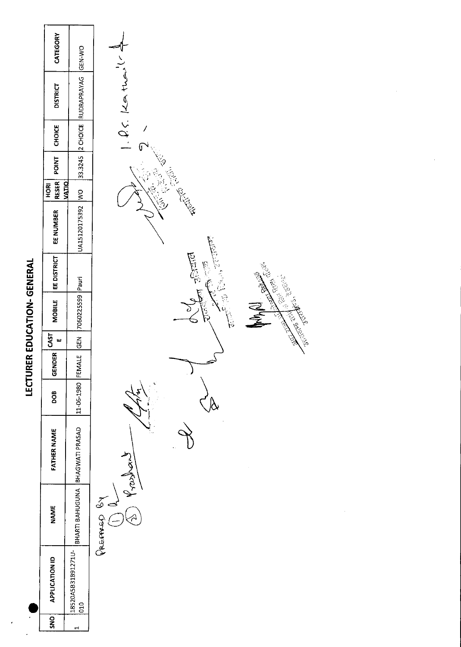|                                         | CATEGORY                      | <b>GEN-WO</b>                   |                                                                                                                                                                                                                                                                                             |
|-----------------------------------------|-------------------------------|---------------------------------|---------------------------------------------------------------------------------------------------------------------------------------------------------------------------------------------------------------------------------------------------------------------------------------------|
|                                         | <b>DISTRICT</b>               | RUDRAPRAYAG                     | 1.25.14                                                                                                                                                                                                                                                                                     |
|                                         | CHOICE                        | 2 CHOICE                        |                                                                                                                                                                                                                                                                                             |
|                                         | <b>POINT</b>                  | 33.3245                         |                                                                                                                                                                                                                                                                                             |
|                                         | <b>RESER</b><br>VATIO<br>HORI |                                 | Children                                                                                                                                                                                                                                                                                    |
|                                         | EE NUMBER                     | UA15120175392 WO                |                                                                                                                                                                                                                                                                                             |
| <b>IRER EDUCATION- GENERAL</b><br>LECTU | EE DISTRICT                   |                                 | Reiche<br>计传真 變長<br>$\hat{\tau}$<br>England Collar Region<br>Recording the Cordinal Cordinal Cordinal Cordinal Cordinal Cordinal Cordinal Cordinal Cordinal Cordinal Cordinal Cordinal Cordinal Cordinal Cordinal Cordinal Cordinal Cordinal Cordinal Cordinal Cordinal Cordinal Cordinal C |
|                                         | <b>MOBILE</b>                 | 7060225599 Pauri                | 之之                                                                                                                                                                                                                                                                                          |
|                                         | <b>CAST</b><br>$\mathbf{u}$   | <b>ABD</b>                      |                                                                                                                                                                                                                                                                                             |
|                                         | <b>GENDER</b>                 | FEMALE                          | $\overline{\phantom{a}}$                                                                                                                                                                                                                                                                    |
|                                         | <b>BOO</b>                    | 11-06-1980                      |                                                                                                                                                                                                                                                                                             |
|                                         | <b>FATHER NAME</b>            |                                 | ر<br>ق<br>fast)                                                                                                                                                                                                                                                                             |
|                                         | <b>NAME</b>                   | BHARTI BAHUGUNA BHAGWATI PRASAD | $\frac{2}{3}$<br>PREPARD                                                                                                                                                                                                                                                                    |
|                                         | <b>APPLICATION ID</b>         | 18520A5B31B91271U-<br>010       |                                                                                                                                                                                                                                                                                             |
|                                         | SNO                           | $\blacksquare$                  |                                                                                                                                                                                                                                                                                             |

 $\cdot$ 

 $\frac{1}{2}$ 

 $\frac{1}{2} \left( \frac{1}{2} \right)$ 

 $\frac{1}{\sqrt{2}}$